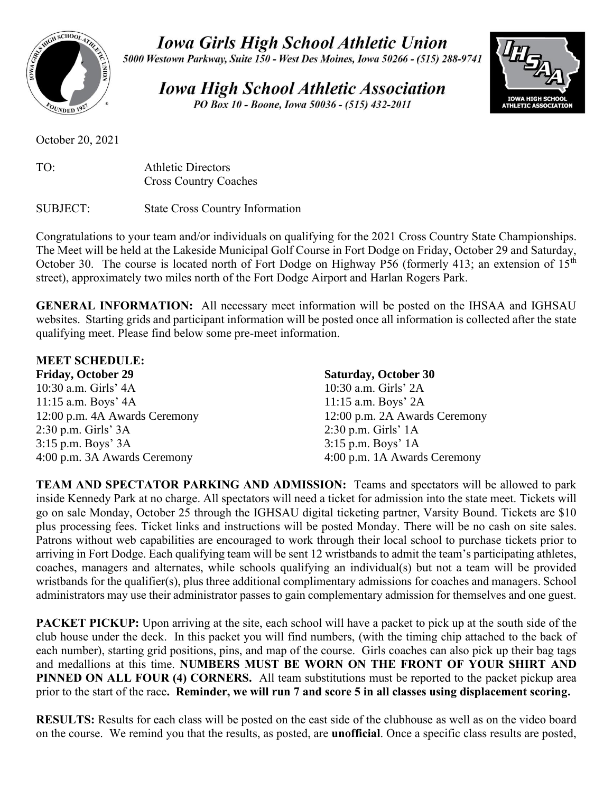

**Iowa Girls High School Athletic Union** 

5000 Westown Parkway, Suite 150 - West Des Moines, Iowa 50266 - (515) 288-9741

**Iowa High School Athletic Association** PO Box 10 - Boone, Iowa 50036 - (515) 432-2011



October 20, 2021

| TO: | <b>Athletic Directors</b>    |
|-----|------------------------------|
|     | <b>Cross Country Coaches</b> |

SUBJECT: State Cross Country Information

Congratulations to your team and/or individuals on qualifying for the 2021 Cross Country State Championships. The Meet will be held at the Lakeside Municipal Golf Course in Fort Dodge on Friday, October 29 and Saturday, October 30. The course is located north of Fort Dodge on Highway P56 (formerly 413; an extension of  $15<sup>th</sup>$ street), approximately two miles north of the Fort Dodge Airport and Harlan Rogers Park.

**GENERAL INFORMATION:** All necessary meet information will be posted on the IHSAA and IGHSAU websites. Starting grids and participant information will be posted once all information is collected after the state qualifying meet. Please find below some pre-meet information.

| <b>MEET SCHEDULE:</b>         |                               |
|-------------------------------|-------------------------------|
| <b>Friday, October 29</b>     | <b>Saturday, October 30</b>   |
| 10:30 a.m. Girls' 4A          | 10:30 a.m. Girls' 2A          |
| $11:15$ a.m. Boys' $4A$       | 11:15 a.m. Boys' 2A           |
| 12:00 p.m. 4A Awards Ceremony | 12:00 p.m. 2A Awards Ceremony |
| $2:30$ p.m. Girls' $3A$       | $2:30$ p.m. Girls' 1A         |
| $3:15$ p.m. Boys' $3A$        | $3:15$ p.m. Boys' 1A          |
| 4:00 p.m. 3A Awards Ceremony  | 4:00 p.m. 1A Awards Ceremony  |

**TEAM AND SPECTATOR PARKING AND ADMISSION:** Teams and spectators will be allowed to park inside Kennedy Park at no charge. All spectators will need a ticket for admission into the state meet. Tickets will go on sale Monday, October 25 through the IGHSAU digital ticketing partner, Varsity Bound. Tickets are \$10 plus processing fees. Ticket links and instructions will be posted Monday. There will be no cash on site sales. Patrons without web capabilities are encouraged to work through their local school to purchase tickets prior to arriving in Fort Dodge. Each qualifying team will be sent 12 wristbands to admit the team's participating athletes, coaches, managers and alternates, while schools qualifying an individual(s) but not a team will be provided wristbands for the qualifier(s), plus three additional complimentary admissions for coaches and managers. School administrators may use their administrator passes to gain complementary admission for themselves and one guest.

**PACKET PICKUP:** Upon arriving at the site, each school will have a packet to pick up at the south side of the club house under the deck. In this packet you will find numbers, (with the timing chip attached to the back of each number), starting grid positions, pins, and map of the course. Girls coaches can also pick up their bag tags and medallions at this time. **NUMBERS MUST BE WORN ON THE FRONT OF YOUR SHIRT AND PINNED ON ALL FOUR (4) CORNERS.** All team substitutions must be reported to the packet pickup area prior to the start of the race**. Reminder, we will run 7 and score 5 in all classes using displacement scoring.**

**RESULTS:** Results for each class will be posted on the east side of the clubhouse as well as on the video board on the course. We remind you that the results, as posted, are **unofficial**. Once a specific class results are posted,